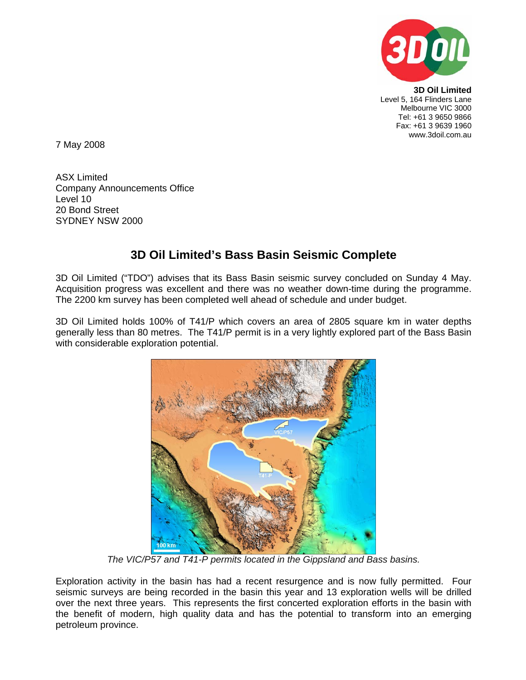

**3D Oil Limited**  Level 5, 164 Flinders Lane Melbourne VIC 3000 Tel: +61 3 9650 9866 Fax: +61 3 9639 1960 www.3doil.com.au

7 May 2008

ASX Limited Company Announcements Office Level 10 20 Bond Street SYDNEY NSW 2000

## **3D Oil Limited's Bass Basin Seismic Complete**

3D Oil Limited ("TDO") advises that its Bass Basin seismic survey concluded on Sunday 4 May. Acquisition progress was excellent and there was no weather down-time during the programme. The 2200 km survey has been completed well ahead of schedule and under budget.

3D Oil Limited holds 100% of T41/P which covers an area of 2805 square km in water depths generally less than 80 metres. The T41/P permit is in a very lightly explored part of the Bass Basin with considerable exploration potential.



*The VIC/P57 and T41-P permits located in the Gippsland and Bass basins.* 

Exploration activity in the basin has had a recent resurgence and is now fully permitted. Four seismic surveys are being recorded in the basin this year and 13 exploration wells will be drilled over the next three years. This represents the first concerted exploration efforts in the basin with the benefit of modern, high quality data and has the potential to transform into an emerging petroleum province.